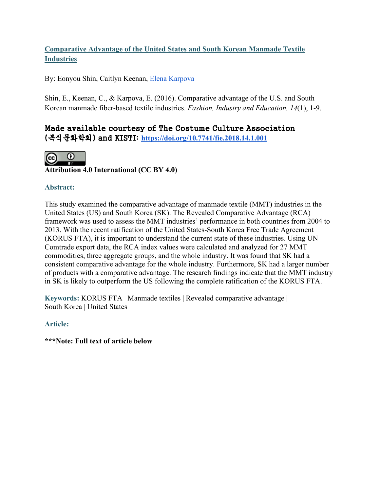# **Comparative Advantage of the United States and South Korean Manmade Textile Industries**

By: Eonyou Shin, Caitlyn Keenan, [Elena Karpova](http://libres.uncg.edu/ir/uncg/clist.aspx?id=25598)

Shin, E., Keenan, C., & Karpova, E. (2016). Comparative advantage of the U.S. and South Korean manmade fiber-based textile industries. *Fashion, Industry and Education, 14*(1), 1-9.

# Made available courtesy of The Costume Culture Association (복식문화학회) and KISTI: **<https://doi.org/10.7741/fie.2018.14.1.001>**



**Attribution 4.0 International (CC BY 4.0)**

# **Abstract:**

This study examined the comparative advantage of manmade textile (MMT) industries in the United States (US) and South Korea (SK). The Revealed Comparative Advantage (RCA) framework was used to assess the MMT industries' performance in both countries from 2004 to 2013. With the recent ratification of the United States-South Korea Free Trade Agreement (KORUS FTA), it is important to understand the current state of these industries. Using UN Comtrade export data, the RCA index values were calculated and analyzed for 27 MMT commodities, three aggregate groups, and the whole industry. It was found that SK had a consistent comparative advantage for the whole industry. Furthermore, SK had a larger number of products with a comparative advantage. The research findings indicate that the MMT industry in SK is likely to outperform the US following the complete ratification of the KORUS FTA.

**Keywords:** KORUS FTA | Manmade textiles | Revealed comparative advantage | South Korea | United States

**Article:** 

**\*\*\*Note: Full text of article below**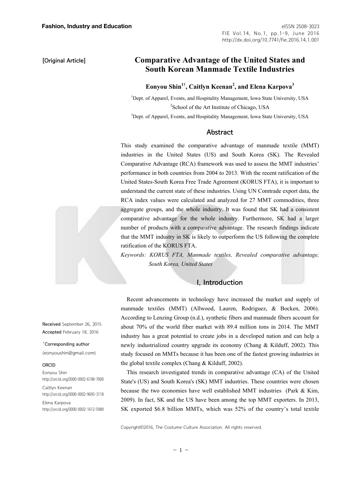**[Original Article]** 

# **Comparative Advantage of the United States and South Korean Manmade Textile Industries**

## **Eonyou Shin1†, Caitlyn Keenan2 , and Elena Karpova<sup>3</sup>**

<sup>1</sup>Dept. of Apparel, Events, and Hospitality Management, Iowa State University, USA <sup>2</sup>School of the Art Institute of Chicago, USA

<sup>3</sup>Dept. of Apparel, Events, and Hospitality Management, Iowa State University, USA

### Abstract

This study examined the comparative advantage of manmade textile (MMT) industries in the United States (US) and South Korea (SK). The Revealed Comparative Advantage (RCA) framework was used to assess the MMT industries' performance in both countries from 2004 to 2013. With the recent ratification of the United States-South Korea Free Trade Agreement (KORUS FTA), it is important to understand the current state of these industries. Using UN Comtrade export data, the RCA index values were calculated and analyzed for 27 MMT commodities, three aggregate groups, and the whole industry. It was found that SK had a consistent comparative advantage for the whole industry. Furthermore, SK had a larger number of products with a comparative advantage. The research findings indicate that the MMT industry in SK is likely to outperform the US following the complete ratification of the KORUS FTA.

*Keywords: KORUS FTA, Manmade textiles, Revealed comparative advantage, South Korea, United States* 

## I. Introduction

Recent advancements in technology have increased the market and supply of manmade textiles (MMT) (Allwood, Lauren, Rodriguez, & Bocken, 2006). According to Lenzing Group (n.d.), synthetic fibers and manmade fibers account for about 70% of the world fiber market with 89.4 million tons in 2014. The MMT industry has a great potential to create jobs in a developed nation and can help a newly industrialized country upgrade its economy (Chang & Kilduff, 2002). This study focused on MMTs because it has been one of the fastest growing industries in the global textile complex (Chang & Kilduff, 2002).

This research investigated trends in comparative advantage (CA) of the United State's (US) and South Korea's (SK) MMT industries. These countries were chosen because the two economies have well established MMT industries (Park & Kim, 2009). In fact, SK and the US have been among the top MMT exporters. In 2013, SK exported \$6.8 billion MMTs, which was 52% of the country's total textile

Copyright©2016, The Costume Culture Association. All rights reserved.

Received September 26, 2015 Accepted February 18, 2016

†Corresponding author (eonyoushin@gmail.com)

#### ORCID

Eonyou Shin http://orcid.org/0000-0002-6198-7000

Caitlyn Keenan http://orcid.org/0000-0002-9695-3118

Elena Karpova http://orcid.org/0000-0002-1612-5989

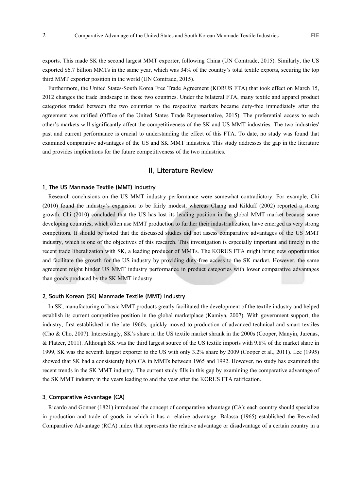exports. This made SK the second largest MMT exporter, following China (UN Comtrade, 2015). Similarly, the US exported \$6.7 billion MMTs in the same year, which was 34% of the country's total textile exports, securing the top third MMT exporter position in the world (UN Comtrade, 2015).

Furthermore, the United States-South Korea Free Trade Agreement (KORUS FTA) that took effect on March 15, 2012 changes the trade landscape in these two countries. Under the bilateral FTA, many textile and apparel product categories traded between the two countries to the respective markets became duty-free immediately after the agreement was ratified (Office of the United States Trade Representative, 2015). The preferential access to each other's markets will significantly affect the competitiveness of the SK and US MMT industries. The two industries' past and current performance is crucial to understanding the effect of this FTA. To date, no study was found that examined comparative advantages of the US and SK MMT industries. This study addresses the gap in the literature and provides implications for the future competitiveness of the two industries.

#### II. Literature Review

#### 1. The US Manmade Textile (MMT) Industry

Research conclusions on the US MMT industry performance were somewhat contradictory. For example, Chi (2010) found the industry's expansion to be fairly modest, whereas Chang and Kilduff (2002) reported a strong growth. Chi (2010) concluded that the US has lost its leading position in the global MMT market because some developing countries, which often use MMT production to further their industrialization, have emerged as very strong competitors. It should be noted that the discussed studies did not assess comparative advantages of the US MMT industry, which is one of the objectives of this research. This investigation is especially important and timely in the recent trade liberalization with SK, a leading producer of MMTs. The KORUS FTA might bring new opportunities and facilitate the growth for the US industry by providing duty-free access to the SK market. However, the same agreement might hinder US MMT industry performance in product categories with lower comparative advantages than goods produced by the SK MMT industry.

#### 2. South Korean (SK) Manmade Textile (MMT) Industry

In SK, manufacturing of basic MMT products greatly facilitated the development of the textile industry and helped establish its current competitive position in the global marketplace (Kamiya, 2007). With government support, the industry, first established in the late 1960s, quickly moved to production of advanced technical and smart textiles (Cho & Cho, 2007). Interestingly, SK's share in the US textile market shrank in the 2000s (Cooper, Manyin, Jurenas, & Platzer, 2011). Although SK was the third largest source of the US textile imports with 9.8% of the market share in 1999, SK was the seventh largest exporter to the US with only 3.2% share by 2009 (Cooper et al., 2011). Lee (1995) showed that SK had a consistently high CA in MMTs between 1965 and 1992. However, no study has examined the recent trends in the SK MMT industry. The current study fills in this gap by examining the comparative advantage of the SK MMT industry in the years leading to and the year after the KORUS FTA ratification.

#### 3. Comparative Advantage (CA)

Ricardo and Gonner (1821) introduced the concept of comparative advantage (CA): each country should specialize in production and trade of goods in which it has a relative advantage. Balassa (1965) established the Revealed Comparative Advantage (RCA) index that represents the relative advantage or disadvantage of a certain country in a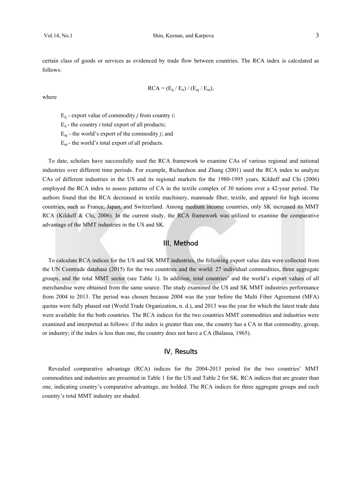certain class of goods or services as evidenced by trade flow between countries. The RCA index is calculated as follows:

$$
RCA = (E_{ij} / E_{it}) / (E_{nj} / E_{nt}),
$$

where

 $E_{ii}$  - export value of commodity *j* from country *i*;

 $E_{it}$  - the country *i* total export of all products;

 $E_{ni}$  - the world's export of the commodity *j*; and

 $E_{nt}$  - the world's total export of all products.

To date, scholars have successfully used the RCA framework to examine CAs of various regional and national industries over different time periods. For example, Richardson and Zhang (2001) used the RCA index to analyze CAs of different industries in the US and its regional markets for the 1980-1995 years. Kilduff and Chi (2006) employed the RCA index to assess patterns of CA in the textile complex of 30 nations over a 42-year period. The authors found that the RCA decreased in textile machinery, manmade fiber, textile, and apparel for high income countries, such as France, Japan, and Switzerland. Among medium income countries, only SK increased its MMT RCA (Kilduff & Chi, 2006). In the current study, the RCA framework was utilized to examine the comparative advantage of the MMT industries in the US and SK.

## III. Method

To calculate RCA indices for the US and SK MMT industries, the following export value data were collected from the UN Comtrade database (2015) for the two countries and the world: 27 individual commodities, three aggregate groups, and the total MMT sector (see Table 1). In addition, total countries' and the world's export values of all merchandise were obtained from the same source. The study examined the US and SK MMT industries performance from 2004 to 2013. The period was chosen because 2004 was the year before the Multi Fiber Agreement (MFA) quotas were fully phased out (World Trade Organization, n. d.), and 2013 was the year for which the latest trade data were available for the both countries. The RCA indices for the two countries MMT commodities and industries were examined and interpreted as follows: if the index is greater than one, the country has a CA in that commodity, group, or industry; if the index is less than one, the country does not have a CA (Balassa, 1965).

### IV. Results

Revealed comparative advantage (RCA) indices for the 2004-2013 period for the two countries' MMT commodities and industries are presented in Table 1 for the US and Table 2 for SK. RCA indices that are greater than one, indicating country's comparative advantage, are bolded. The RCA indices for three aggregate groups and each country's total MMT industry are shaded.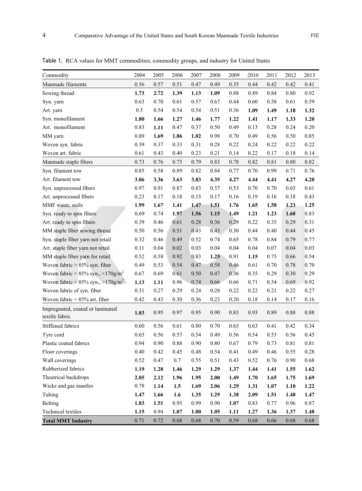| 2004 | 2005 | 2006    | 2007     | 2008 | 2009 | 2010 | 2011   | 2012 | 2013 |
|------|------|---------|----------|------|------|------|--------|------|------|
| 0.56 | 0.57 | 0.51    | 0.47     | 0.49 | 0.35 | 0.44 | 0.42   | 0.42 | 0.41 |
| 1.73 | 2.72 | 1.39    | 1.13     | 1.09 | 0.88 | 0.89 | 0.84   | 0.80 | 0.92 |
| 0.63 | 0.70 | 0.61    | 0.57     | 0.67 | 0.44 | 0.60 | 0.58   | 0.61 | 0.59 |
| 0.5  | 0.54 | 0.54    | 0.54     | 0.51 | 0.36 | 1.09 | 1.49   | 1.18 | 1.32 |
| 1.80 | 1.66 | 1.27    | 1.46     | 1.77 | 1.22 | 1.41 | 1.17   | 1.33 | 1.20 |
| 0.83 | 1.11 | 0.47    | 0.37     | 0.50 | 0.49 | 0.13 | 0.28   | 0.24 | 0.20 |
| 0.89 | 1.69 | 1.86    | 1.02     | 0.98 | 0.70 | 0.49 | 0.56   | 0.50 | 0.85 |
| 0.39 | 0.37 | 0.33    | 0.31     | 0.28 | 0.22 | 0.24 | 0.22   | 0.22 | 0.22 |
| 0.61 | 0.43 | 0.40    | 0.23     | 0.21 | 0.14 | 0.22 | 0.17   | 0.18 | 0.14 |
| 0.73 | 0.76 | 0.75    | 0.79     | 0.83 | 0.78 | 0.82 | 0.81   | 0.80 | 0.82 |
| 0.85 | 0.58 | 0.89    | 0.82     | 0.84 | 0.77 | 0.70 | 0.99   | 0.71 | 0.76 |
| 3.06 | 3.36 | 3.63    | 3.83     | 4.35 | 4.27 | 4.44 | 4.41   | 4.27 | 4.20 |
| 0.97 | 0.91 | 0.87    | 0.83     | 0.57 | 0.53 | 0.70 | 0.70   | 0.65 | 0.61 |
| 0.23 | 0.17 | 0.18    | 0.15     | 0.17 | 0.16 | 0.19 | 0.16   | 0.18 | 0.43 |
| 1.99 | 1.67 | 1.41    | 1.47     | 1.51 | 1.76 | 1.65 | 1.58   | 1.23 | 1.25 |
| 0.69 | 0.74 | 1.97    | 1.56     | 1.15 | 1.49 | 1.21 | 1.23   | 1.60 | 0.83 |
| 0.39 | 0.46 | 0.61    | 0.28     | 0.36 | 0.29 | 0.22 | 0.35   | 0.29 | 0.31 |
| 0.50 | 0.56 | 0.51    | 0.43     | 0.43 | 0.30 | 0.44 | 0.40   | 0.44 | 0.45 |
| 0.32 | 0.46 | 0.49    | 0.52     | 0.74 | 0.65 | 0.78 | 0.84   | 0.79 | 0.77 |
| 0.11 | 0.04 | 0.02    | $0.03\,$ | 0.04 | 0.04 | 0.04 | 0.07   | 0.04 | 0.03 |
| 0.52 | 0.58 | 0.92    | 0.83     | 1.25 | 0.91 | 1.15 | 0.75   | 0.66 | 0.54 |
| 0.49 | 0.53 | 0.54    | 0.47     | 0.58 | 0.46 | 0.61 | 0.70   | 0.78 | 0.70 |
| 0.67 | 0.69 | 0.61    | 0.50     | 0.47 | 0.36 | 0.35 | 0.29   | 0.30 | 0.29 |
| 1.13 | 1.11 | 0.96    | 0.74     | 0.66 | 0.66 | 0.71 | 0.54   | 0.69 | 0.92 |
| 0.31 | 0.27 | 0.29    | 0.24     | 0.28 | 0.22 | 0.22 | 0.21   | 0.22 | 0.27 |
| 0.42 | 0.43 | 0.30    | 0.36     | 0.23 | 0.20 | 0.18 | 0.14   | 0.17 | 0.16 |
| 1.03 | 0.95 | 0.97    | 0.95     | 0.90 | 0.83 | 0.93 | 0.89   | 0.88 | 0.88 |
| 0.60 | 0.56 | 0.61    | 0.80     | 0.70 | 0.65 | 0.63 | 0.41   | 0.42 | 0.34 |
| 0.65 | 0.56 | 0.57    | 0.54     | 0.49 | 0.56 | 0.54 | 0.53   | 0.56 | 0.45 |
| 0.94 | 0.90 | 0.88    | 0.90     | 0.80 | 0.67 | 0.79 | 0.73   | 0.81 | 0.81 |
| 0.40 | 0.42 | 0.45    | 0.48     | 0.54 | 0.41 | 0.49 | 0.46   | 0.55 | 0.28 |
| 0.52 | 0.47 | $0.7\,$ | 0.55     | 0.51 | 0.43 | 0.52 | 0.76   | 0.90 | 0.68 |
| 1.19 | 1.28 | 1.46    | 1.29     | 1.29 | 1.37 | 1.44 | 1.41   | 1.55 | 1.62 |
| 2.05 | 2.12 | 1.96    | 1.95     | 2.00 | 1.49 | 1.70 | 1.65   | 1.75 | 1.69 |
| 0.78 | 1.14 | 1.5     | 1.69     | 2.06 | 1.29 | 1.31 | $1.07$ | 1.10 | 1.22 |
| 1.47 | 1.66 | 1.6     | 1.35     | 1.29 | 1.38 | 2.09 | 1.51   | 1.48 | 1.47 |
| 1.83 | 1.51 | 0.95    | 0.99     | 0.90 | 1.07 | 0.83 | 0.77   | 0.96 | 0.87 |
| 1.15 | 0.94 | 1.07    | $1.00\,$ | 1.05 | 1.11 | 1.27 | 1.36   | 1.37 | 1.48 |
|      |      |         |          |      |      |      |        |      |      |

**Total MMT Industry** 0.71 0.72 0.68 0.68 0.70 0.59 0.68 0.66 0.68 0.68

Table 1. RCA values for MMT commodities, commodity groups, and industry for United States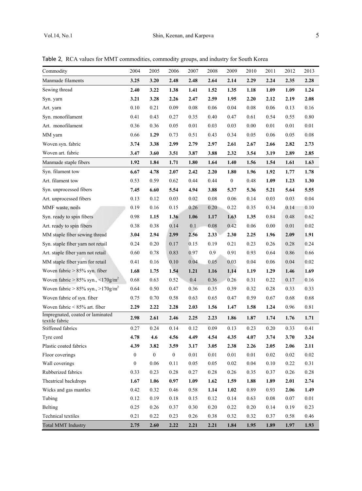Table 2. RCA values for MMT commodities, commodity groups, and industry for South Korea

| Commodity                                               | 2004             | 2005             | 2006             | 2007 | 2008 | 2009             | 2010 | 2011     | 2012 | 2013 |
|---------------------------------------------------------|------------------|------------------|------------------|------|------|------------------|------|----------|------|------|
| Manmade filaments                                       | 3.25             | 3.20             | 2.48             | 2.48 | 2.64 | 2.14             | 2.29 | 2.24     | 2.35 | 2.28 |
| Sewing thread                                           | 2.40             | 3.22             | 1.38             | 1.41 | 1.52 | 1.35             | 1.18 | 1.09     | 1.09 | 1.24 |
| Syn. yarn                                               | 3.21             | 3.28             | 2.26             | 2.47 | 2.59 | 1.95             | 2.20 | 2.12     | 2.19 | 2.08 |
| Art. yarn                                               | 0.10             | 0.21             | 0.09             | 0.08 | 0.06 | 0.04             | 0.08 | 0.06     | 0.13 | 0.16 |
| Syn. monofilament                                       | 0.41             | 0.43             | 0.27             | 0.35 | 0.40 | 0.47             | 0.61 | 0.54     | 0.55 | 0.80 |
| Art. monofilament                                       | 0.36             | 0.36             | 0.05             | 0.01 | 0.03 | 0.03             | 0.00 | 0.01     | 0.01 | 0.01 |
| MM yarn                                                 | 0.66             | 1.29             | 0.73             | 0.51 | 0.43 | 0.34             | 0.05 | 0.06     | 0.05 | 0.08 |
| Woven syn. fabric                                       | 3.74             | 3.38             | 2.99             | 2.79 | 2.97 | 2.61             | 2.67 | 2.66     | 2.82 | 2.73 |
| Woven art. fabric                                       | 3.47             | 3.60             | 3.51             | 3.87 | 3.88 | 2.32             | 3.54 | 3.19     | 2.89 | 2.85 |
| Manmade staple fibers                                   | 1.92             | 1.84             | 1.71             | 1.80 | 1.64 | 1.40             | 1.56 | 1.54     | 1.61 | 1.63 |
| Syn. filament tow                                       | 6.67             | 4.78             | 2.07             | 2.42 | 2.20 | 1.80             | 1.96 | 1.92     | 1.77 | 1.78 |
| Art. filament tow                                       | 0.53             | 0.59             | 0.62             | 0.44 | 0.44 | $\boldsymbol{0}$ | 0.48 | 1.09     | 1.23 | 1.30 |
| Syn. unprocessed fibers                                 | 7.45             | 6.60             | 5.54             | 4.94 | 3.88 | 5.37             | 5.36 | 5.21     | 5.64 | 5.55 |
| Art. unprocessed fibers                                 | 0.13             | 0.12             | 0.03             | 0.02 | 0.08 | 0.06             | 0.14 | 0.03     | 0.03 | 0.04 |
| MMF waste, noils                                        | 0.19             | 0.16             | 0.15             | 0.26 | 0.20 | 0.22             | 0.35 | 0.34     | 0.14 | 0.10 |
| Syn. ready to spin fibers                               | 0.98             | 1.15             | 1.36             | 1.06 | 1.17 | 1.63             | 1.35 | 0.84     | 0.48 | 0.62 |
| Art. ready to spin fibers                               | 0.38             | 0.38             | 0.14             | 0.1  | 0.08 | 0.42             | 0.06 | 0.00     | 0.01 | 0.02 |
| MM staple fiber sewing thread                           | 3.04             | 2.94             | 2.99             | 2.56 | 2.33 | 2.30             | 2.25 | 1.96     | 2.09 | 1.91 |
| Syn. staple fiber yarn not retail                       | 0.24             | 0.20             | 0.17             | 0.15 | 0.19 | 0.21             | 0.23 | 0.26     | 0.28 | 0.24 |
| Art. staple fiber yarn not retail                       | 0.60             | 0.78             | 0.83             | 0.97 | 0.9  | 0.91             | 0.93 | 0.64     | 0.86 | 0.66 |
| MM staple fiber yarn for retail                         | 0.41             | 0.16             | 0.10             | 0.04 | 0.05 | 0.03             | 0.04 | 0.06     | 0.04 | 0.02 |
| Woven fabric $> 85\%$ syn. fiber                        | 1.68             | 1.75             | 1.54             | 1.21 | 1.16 | 1.14             | 1.19 | 1.29     | 1.46 | 1.69 |
| Woven fabric > $85\%$ syn., $\leq 170$ g/m <sup>2</sup> | 0.68             | 0.63             | 0.52             | 0.4  | 0.36 | 0.26             | 0.31 | 0.22     | 0.17 | 0.16 |
| Woven fabric > $85\%$ syn., $>170$ g/m <sup>2</sup>     | 0.64             | 0.50             | 0.47             | 0.36 | 0.35 | 0.39             | 0.32 | 0.28     | 0.33 | 0.33 |
| Woven fabric of syn. fiber                              | 0.75             | 0.70             | 0.58             | 0.63 | 0.65 | 0.47             | 0.59 | 0.67     | 0.68 | 0.68 |
| Woven fabric $< 85\%$ art. fiber                        | 2.29             | 2.22             | 2.28             | 2.03 | 1.56 | 1.47             | 1.58 | 1.24     | 0.96 | 0.81 |
| Impregnated, coated or laminated<br>textile fabric      | 2.98             | 2.61             | 2.46             | 2.25 | 2.23 | 1.86             | 1.87 | 1.74     | 1.76 | 1.71 |
| Stiffened fabrics                                       | 0.27             | 0.24             | 0.14             | 0.12 | 0.09 | 0.13             | 0.23 | 0.20     | 0.33 | 0.41 |
| Tyre cord                                               | 4.78             | 4.6              | 4.56             | 4.49 | 4.54 | 4.35             | 4.07 | 3.74     | 3.70 | 3.24 |
| Plastic coated fabrics                                  | 4.39             | 3.82             | 3.59             | 3.17 | 3.05 | 2.38             | 2.26 | 2.05     | 2.06 | 2.11 |
| Floor coverings                                         | $\boldsymbol{0}$ | $\boldsymbol{0}$ | $\boldsymbol{0}$ | 0.01 | 0.01 | 0.01             | 0.01 | 0.02     | 0.02 | 0.02 |
| Wall coverings                                          | $\boldsymbol{0}$ | 0.06             | 0.11             | 0.05 | 0.05 | $0.02\,$         | 0.04 | 0.10     | 0.22 | 0.31 |
| Rubberized fabrics                                      | 0.33             | 0.23             | 0.28             | 0.27 | 0.28 | 0.26             | 0.35 | 0.37     | 0.26 | 0.28 |
| Theatrical backdrops                                    | 1.67             | 1.06             | 0.97             | 1.09 | 1.62 | 1.59             | 1.88 | 1.89     | 2.01 | 2.74 |
| Wicks and gas mantles                                   | 0.42             | 0.32             | 0.46             | 0.58 | 1.14 | 1.02             | 0.89 | 0.93     | 2.06 | 1.49 |
| Tubing                                                  | 0.12             | 0.19             | 0.18             | 0.15 | 0.12 | 0.14             | 0.63 | $0.08\,$ | 0.07 | 0.01 |
| Belting                                                 | 0.25             | 0.26             | 0.37             | 0.30 | 0.20 | 0.22             | 0.20 | 0.14     | 0.19 | 0.23 |
| Technical textiles                                      | 0.21             | 0.22             | 0.23             | 0.26 | 0.38 | 0.32             | 0.32 | 0.37     | 0.58 | 0.46 |
| <b>Total MMT Industry</b>                               | 2.75             | 2.60             | 2.22             | 2.21 | 2.21 | 1.84             | 1.95 | 1.89     | 1.97 | 1.93 |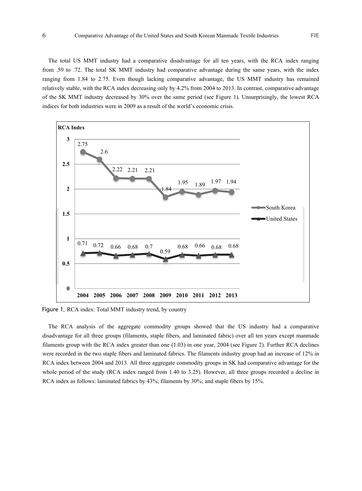The total US MMT industry had a comparative disadvantage for all ten years, with the RCA index ranging from .59 to .72. The total SK MMT industry had comparative advantage during the same years, with the index ranging from 1.84 to 2.75. Even though lacking comparative advantage, the US MMT industry has remained relatively stable, with the RCA index decreasing only by 4.2% from 2004 to 2013. In contrast, comparative advantage of the SK MMT industry decreased by 30% over the same period (see Figure 1). Unsurprisingly, the lowest RCA indices for both industries were in 2009 as a result of the world's economic crisis.



Figure 1. RCA index: Total MMT industry trend, by country

The RCA analysis of the aggregate commodity groups showed that the US industry had a comparative disadvantage for all three groups (filaments, staple fibers, and laminated fabric) over all ten years except manmade filaments group with the RCA index greater than one (1.03) in one year, 2004 (see Figure 2). Further RCA declines were recorded in the two staple fibers and laminated fabrics. The filaments industry group had an increase of 12% in RCA index between 2004 and 2013. All three aggregate commodity groups in SK had comparative advantage for the whole period of the study (RCA index ranged from 1.40 to 3.25). However, all three groups recorded a decline in RCA index as follows: laminated fabrics by 43%; filaments by 30%; and staple fibers by 15%.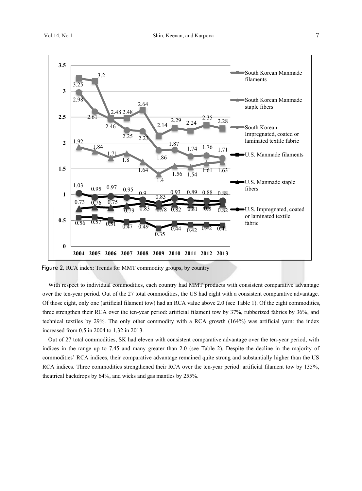

Figure 2. RCA index: Trends for MMT commodity groups, by country

With respect to individual commodities, each country had MMT products with consistent comparative advantage over the ten-year period. Out of the 27 total commodities, the US had eight with a consistent comparative advantage. Of those eight, only one (artificial filament tow) had an RCA value above 2.0 (see Table 1). Of the eight commodities, three strengthen their RCA over the ten-year period: artificial filament tow by 37%, rubberized fabrics by 36%, and technical textiles by 29%. The only other commodity with a RCA growth (164%) was artificial yarn: the index increased from 0.5 in 2004 to 1.32 in 2013.

Out of 27 total commodities, SK had eleven with consistent comparative advantage over the ten-year period, with indices in the range up to 7.45 and many greater than 2.0 (see Table 2). Despite the decline in the majority of commodities' RCA indices, their comparative advantage remained quite strong and substantially higher than the US RCA indices. Three commodities strengthened their RCA over the ten-year period: artificial filament tow by 135%, theatrical backdrops by 64%, and wicks and gas mantles by 255%.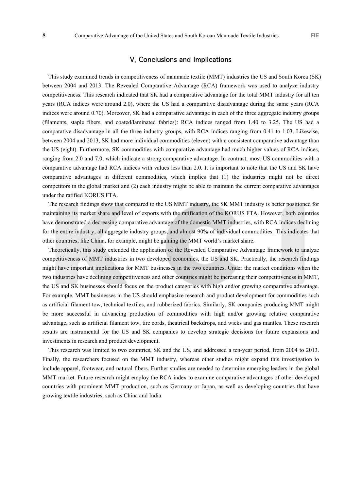## V. Conclusions and Implications

This study examined trends in competitiveness of manmade textile (MMT) industries the US and South Korea (SK) between 2004 and 2013. The Revealed Comparative Advantage (RCA) framework was used to analyze industry competitiveness. This research indicated that SK had a comparative advantage for the total MMT industry for all ten years (RCA indices were around 2.0), where the US had a comparative disadvantage during the same years (RCA indices were around 0.70). Moreover, SK had a comparative advantage in each of the three aggregate industry groups (filaments, staple fibers, and coated/laminated fabrics): RCA indices ranged from 1.40 to 3.25. The US had a comparative disadvantage in all the three industry groups, with RCA indices ranging from 0.41 to 1.03. Likewise, between 2004 and 2013, SK had more individual commodities (eleven) with a consistent comparative advantage than the US (eight). Furthermore, SK commodities with comparative advantage had much higher values of RCA indices, ranging from 2.0 and 7.0, which indicate a strong comparative advantage. In contrast, most US commodities with a comparative advantage had RCA indices with values less than 2.0. It is important to note that the US and SK have comparative advantages in different commodities, which implies that (1) the industries might not be direct competitors in the global market and (2) each industry might be able to maintain the current comparative advantages under the ratified KORUS FTA.

The research findings show that compared to the US MMT industry, the SK MMT industry is better positioned for maintaining its market share and level of exports with the ratification of the KORUS FTA. However, both countries have demonstrated a decreasing comparative advantage of the domestic MMT industries, with RCA indices declining for the entire industry, all aggregate industry groups, and almost 90% of individual commodities. This indicates that other countries, like China, for example, might be gaining the MMT world's market share.

Theoretically, this study extended the application of the Revealed Comparative Advantage framework to analyze competitiveness of MMT industries in two developed economies, the US and SK. Practically, the research findings might have important implications for MMT businesses in the two countries. Under the market conditions when the two industries have declining competitiveness and other countries might be increasing their competitiveness in MMT, the US and SK businesses should focus on the product categories with high and/or growing comparative advantage. For example, MMT businesses in the US should emphasize research and product development for commodities such as artificial filament tow, technical textiles, and rubberized fabrics. Similarly, SK companies producing MMT might be more successful in advancing production of commodities with high and/or growing relative comparative advantage, such as artificial filament tow, tire cords, theatrical backdrops, and wicks and gas mantles. These research results are instrumental for the US and SK companies to develop strategic decisions for future expansions and investments in research and product development.

This research was limited to two countries, SK and the US, and addressed a ten-year period, from 2004 to 2013. Finally, the researchers focused on the MMT industry, whereas other studies might expand this investigation to include apparel, footwear, and natural fibers. Further studies are needed to determine emerging leaders in the global MMT market. Future research might employ the RCA index to examine comparative advantages of other developed countries with prominent MMT production, such as Germany or Japan, as well as developing countries that have growing textile industries, such as China and India.